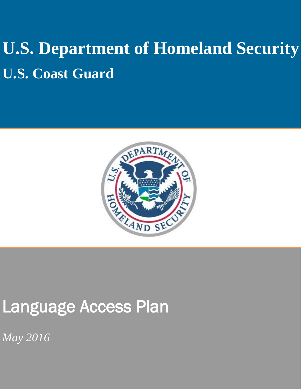# **U.S. Department of Homeland Security U.S. Coast Guard**



## Language Access Plan

*May 2016*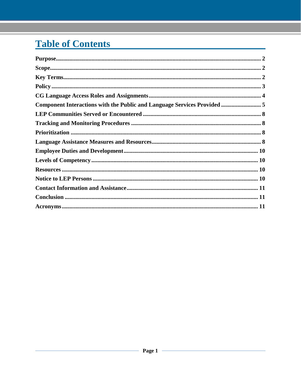## **Table of Contents**

| Purpose. 22                                                                                                                                                                                                                                                                                                                                                                                                                                    |  |
|------------------------------------------------------------------------------------------------------------------------------------------------------------------------------------------------------------------------------------------------------------------------------------------------------------------------------------------------------------------------------------------------------------------------------------------------|--|
|                                                                                                                                                                                                                                                                                                                                                                                                                                                |  |
|                                                                                                                                                                                                                                                                                                                                                                                                                                                |  |
|                                                                                                                                                                                                                                                                                                                                                                                                                                                |  |
|                                                                                                                                                                                                                                                                                                                                                                                                                                                |  |
| Component Interactions with the Public and Language Services Provided  5                                                                                                                                                                                                                                                                                                                                                                       |  |
|                                                                                                                                                                                                                                                                                                                                                                                                                                                |  |
|                                                                                                                                                                                                                                                                                                                                                                                                                                                |  |
|                                                                                                                                                                                                                                                                                                                                                                                                                                                |  |
|                                                                                                                                                                                                                                                                                                                                                                                                                                                |  |
|                                                                                                                                                                                                                                                                                                                                                                                                                                                |  |
|                                                                                                                                                                                                                                                                                                                                                                                                                                                |  |
| ${\bf Resources}\dots\hspace{1.5mm}\dots\hspace{1.5mm}\dots\hspace{1.5mm}\dots\hspace{1.5mm}\dots\hspace{1.5mm}\dots\hspace{1.5mm}\dots\hspace{1.5mm}\dots\hspace{1.5mm}\dots\hspace{1.5mm}\dots\hspace{1.5mm}\dots\hspace{1.5mm}\dots\hspace{1.5mm}\dots\hspace{1.5mm}\dots\hspace{1.5mm}\dots\hspace{1.5mm}\dots\hspace{1.5mm}\dots\hspace{1.5mm}\dots\hspace{1.5mm}\dots\hspace{1.5mm}\dots\hspace{1.5mm}\dots\hspace{1.5mm}\dots\hspace{1$ |  |
|                                                                                                                                                                                                                                                                                                                                                                                                                                                |  |
|                                                                                                                                                                                                                                                                                                                                                                                                                                                |  |
|                                                                                                                                                                                                                                                                                                                                                                                                                                                |  |
|                                                                                                                                                                                                                                                                                                                                                                                                                                                |  |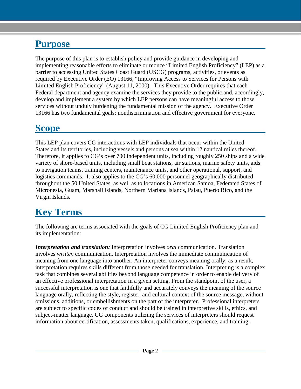#### <span id="page-2-0"></span>**Purpose**

The purpose of this plan is to establish policy and provide guidance in developing and implementing reasonable efforts to eliminate or reduce "Limited English Proficiency" (LEP) as a barrier to accessing United States Coast Guard (USCG) programs, activities, or events as required by Executive Order (EO) 13166, "Improving Access to Services for Persons with Limited English Proficiency" (August 11, 2000). This Executive Order requires that each Federal department and agency examine the services they provide to the public and, accordingly, develop and implement a system by which LEP persons can have meaningful access to those services without unduly burdening the fundamental mission of the agency. Executive Order 13166 has two fundamental goals: nondiscrimination and effective government for everyone.

#### <span id="page-2-1"></span>**Scope**

This LEP plan covers CG interactions with LEP individuals that occur within the United States and its territories, including vessels and persons at sea within 12 nautical miles thereof. Therefore, it applies to CG's over 700 independent units, including roughly 250 ships and a wide variety of shore-based units, including small boat stations, air stations, marine safety units, aids to navigation teams, training centers, maintenance units, and other operational, support, and logistics commands. It also applies to the CG's 60,000 personnel geographically distributed throughout the 50 United States, as well as to locations in American Samoa, Federated States of Micronesia, Guam, Marshall Islands, Northern Mariana Islands, Palau, Puerto Rico, and the Virgin Islands.

### <span id="page-2-2"></span>**Key Terms**

The following are terms associated with the goals of CG Limited English Proficiency plan and its implementation:

*Interpretation and translation:* Interpretation involves *oral* communication. Translation involves *written* communication. Interpretation involves the immediate communication of meaning from one language into another. An interpreter conveys meaning orally; as a result, interpretation requires skills different from those needed for translation. Interpreting is a complex task that combines several abilities beyond language competence in order to enable delivery of an effective professional interpretation in a given setting. From the standpoint of the user, a successful interpretation is one that faithfully and accurately conveys the meaning of the source language orally, reflecting the style, register, and cultural context of the source message, without omissions, additions, or embellishments on the part of the interpreter. Professional interpreters are subject to specific codes of conduct and should be trained in interpretive skills, ethics, and subject-matter language. CG components utilizing the services of interpreters should request information about certification, assessments taken, qualifications, experience, and training.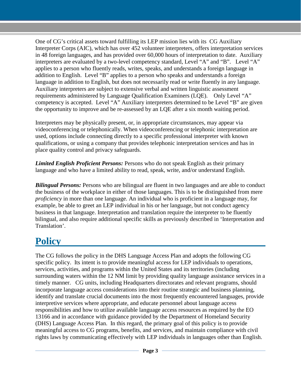One of CG's critical assets toward fulfilling its LEP mission lies with its CG Auxiliary Interpreter Corps (AIC), which has over 452 volunteer interpreters, offers interpretation services in 48 foreign languages, and has provided over 60,000 hours of interpretation to date. Auxiliary interpreters are evaluated by a two-level competency standard, Level "A" and "B". Level "A" applies to a person who fluently reads, writes, speaks, and understands a foreign language in addition to English. Level "B" applies to a person who speaks and understands a foreign language in addition to English, but does not necessarily read or write fluently in any language. Auxiliary interpreters are subject to extensive verbal and written linguistic assessment requirements administered by Language Qualification Examiners (LQE). Only Level "A" competency is accepted. Level "A" Auxiliary interpreters determined to be Level "B" are given the opportunity to improve and be re-assessed by an LQE after a six month waiting period.

Interpreters may be physically present, or, in appropriate circumstances, may appear via videoconferencing or telephonically. When videoconferencing or telephonic interpretation are used, options include connecting directly to a specific professional interpreter with known qualifications, or using a company that provides telephonic interpretation services and has in place quality control and privacy safeguards.

*Limited English Proficient Persons:* Persons who do not speak English as their primary language and who have a limited ability to read, speak, write, and/or understand English.

*Bilingual Persons:* Persons who are bilingual are fluent in two languages and are able to conduct the business of the workplace in either of those languages. This is to be distinguished from mere *proficiency* in more than one language. An individual who is proficient in a language may, for example, be able to greet an LEP individual in his or her language, but not conduct agency business in that language. Interpretation and translation require the interpreter to be fluently bilingual, and also require additional specific skills as previously described in 'Interpretation and Translation'.

#### <span id="page-3-0"></span>**Policy**

The CG follows the policy in the DHS Language Access Plan and adopts the following CG specific policy. Its intent is to provide meaningful access for LEP individuals to operations, services, activities, and programs within the United States and its territories (including surrounding waters within the 12 NM limit by providing quality language assistance services in a timely manner. CG units, including Headquarters directorates and relevant programs, should incorporate language access considerations into their routine strategic and business planning, identify and translate crucial documents into the most frequently encountered languages, provide interpretive services where appropriate, and educate personnel about language access responsibilities and how to utilize available language access resources as required by the EO 13166 and in accordance with guidance provided by the Department of Homeland Security (DHS) Language Access Plan. In this regard, the primary goal of this policy is to provide meaningful access to CG programs, benefits, and services, and maintain compliance with civil rights laws by communicating effectively with LEP individuals in languages other than English.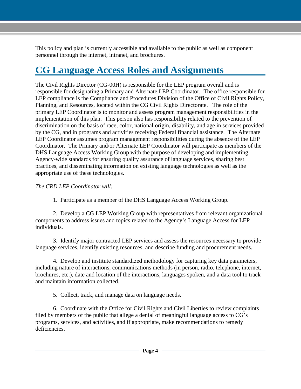This policy and plan is currently accessible and available to the public as well as component personnel through the internet, intranet, and brochures.

#### <span id="page-4-0"></span>**CG Language Access Roles and Assignments**

The Civil Rights Director (CG-00H) is responsible for the LEP program overall and is responsible for designating a Primary and Alternate LEP Coordinator. The office responsible for LEP compliance is the Compliance and Procedures Division of the Office of Civil Rights Policy, Planning, and Resources, located within the CG Civil Rights Directorate. The role of the primary LEP Coordinator is to monitor and assess program management responsibilities in the implementation of this plan. This person also has responsibility related to the prevention of discrimination on the basis of race, color, national origin, disability, and age in services provided by the CG, and in programs and activities receiving Federal financial assistance. The Alternate LEP Coordinator assumes program management responsibilities during the absence of the LEP Coordinator. The Primary and/or Alternate LEP Coordinator will participate as members of the DHS Language Access Working Group with the purpose of developing and implementing Agency-wide standards for ensuring quality assurance of language services, sharing best practices, and disseminating information on existing language technologies as well as the appropriate use of these technologies.

#### *The CRD LEP Coordinator will:*

1. Participate as a member of the DHS Language Access Working Group.

2. Develop a CG LEP Working Group with representatives from relevant organizational components to address issues and topics related to the Agency's Language Access for LEP individuals.

3. Identify major contracted LEP services and assess the resources necessary to provide language services, identify existing resources, and describe funding and procurement needs.

4. Develop and institute standardized methodology for capturing key data parameters, including nature of interactions, communications methods (in person, radio, telephone, internet, brochures, etc.), date and location of the interactions, languages spoken, and a data tool to track and maintain information collected.

5. Collect, track, and manage data on language needs.

6. Coordinate with the Office for Civil Rights and Civil Liberties to review complaints filed by members of the public that allege a denial of meaningful language access to CG's programs, services, and activities, and if appropriate, make recommendations to remedy deficiencies.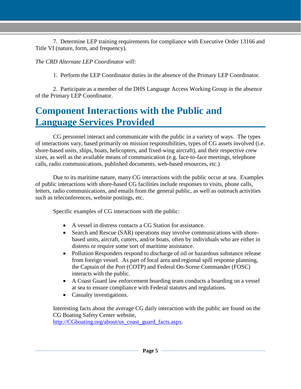7. Determine LEP training requirements for compliance with Executive Order 13166 and Title VI (nature, form, and frequency).

#### *The CRD Alternate LEP Coordinator will:*

1. Perform the LEP Coordinator duties in the absence of the Primary LEP Coordinator.

2. Participate as a member of the DHS Language Access Working Group in the absence of the Primary LEP Coordinator.

#### <span id="page-5-0"></span>**Component Interactions with the Public and Language Services Provided**

CG personnel interact and communicate with the public in a variety of ways. The types of interactions vary, based primarily on mission responsibilities, types of CG assets involved (i.e. shore-based units, ships, boats, helicopters, and fixed-wing aircraft), and their respective crew sizes, as well as the available means of communication (e.g. face-to-face meetings, telephone calls, radio communications, published documents, web-based resources, etc.)

Due to its maritime nature, many CG interactions with the public occur at sea. Examples of public interactions with shore-based CG facilities include responses to visits, phone calls, letters, radio communications, and emails from the general public, as well as outreach activities such as teleconferences, website postings, etc.

Specific examples of CG interactions with the public:

- A vessel in distress contacts a CG Station for assistance.
- Search and Rescue (SAR) operations may involve communications with shorebased units, aircraft, cutters, and/or boats, often by individuals who are either in distress or require some sort of maritime assistance.
- Pollution Responders respond to discharge of oil or hazardous substance release from foreign vessel. As part of local area and regional spill response planning, the Captain of the Port (COTP) and Federal On-Scene Commander (FOSC) interacts with the public.
- A Coast Guard law enforcement boarding team conducts a boarding on a vessel at sea to ensure compliance with Federal statutes and regulations.
- Casualty investigations.

Interesting facts about the average CG daily interaction with the public are found on the CG Boating Safety Center website, [http://CGboating.org/about/us\\_coast\\_guard\\_facts.aspx.](http://uscgboating.org/about/us_coast_guard_facts.aspx)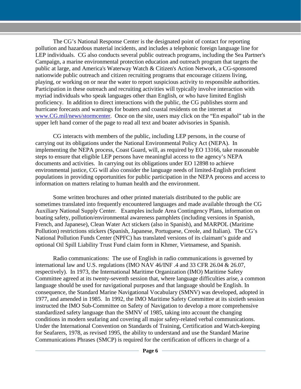The CG's National Response Center is the designated point of contact for reporting pollution and hazardous material incidents, and includes a telephonic foreign language line for LEP individuals. CG also conducts several public outreach programs, including the Sea Partner's Campaign, a marine environmental protection education and outreach program that targets the public at large, and America's Waterway Watch & Citizen's Action Network, a CG-sponsored nationwide public outreach and citizen recruiting programs that encourage citizens living, playing, or working on or near the water to report suspicious activity to responsible authorities. Participation in these outreach and recruiting activities will typically involve interaction with myriad individuals who speak languages other than English, or who have limited English proficiency. In addition to direct interactions with the public, the CG publishes storm and hurricane forecasts and warnings for boaters and coastal residents on the internet at [www.CG.mil/news/stormcenter.](http://www.uscg.mil/news/stormcenter/) Once on the site, users may click on the "En español" tab in the upper left hand corner of the page to read all text and boater advisories in Spanish.

CG interacts with members of the public, including LEP persons, in the course of carrying out its obligations under the National Environmental Policy Act (NEPA). In implementing the NEPA process, Coast Guard, will, as required by EO 13166, take reasonable steps to ensure that eligible LEP persons have meaningful access to the agency's NEPA documents and activities. In carrying out its obligations under EO 12898 to achieve environmental justice, CG will also consider the language needs of limited-English proficient populations in providing opportunities for public participation in the NEPA process and access to information on matters relating to human health and the environment.

Some written brochures and other printed materials distributed to the public are sometimes translated into frequently encountered languages and made available through the CG Auxiliary National Supply Center. Examples include Area Contingency Plans, information on boating safety, pollution/environmental awareness pamphlets (including versions in Spanish, French, and Japanese), Clean Water Act stickers (also in Spanish), and MARPOL (Maritime Pollution) restrictions stickers (Spanish, Japanese, Portuguese, Creole, and Italian). The CG's National Pollution Funds Center (NPFC) has translated versions of its claimant's guide and optional Oil Spill Liability Trust Fund claim form in Khmer, Vietnamese, and Spanish.

Radio communications: The use of English in radio communications is governed by international law and U.S. regulations (IMO NAV 46/INF .4 and 33 CFR 26.04 & 26.07, respectively). In 1973, the International Maritime Organization (IMO) Maritime Safety Committee agreed at its twenty-seventh session that, where language difficulties arise, a common language should be used for navigational purposes and that language should be English. In consequence, the Standard Marine Navigational Vocabulary (SMNV) was developed, adopted in 1977, and amended in 1985. In 1992, the IMO Maritime Safety Committee at its sixtieth session instructed the IMO Sub-Committee on Safety of Navigation to develop a more comprehensive standardized safety language than the SMNV of 1985, taking into account the changing conditions in modern seafaring and covering all major safety-related verbal communications. Under the International Convention on Standards of Training, Certification and Watch-keeping for Seafarers, 1978, as revised 1995, the ability to understand and use the Standard Marine Communications Phrases (SMCP) is required for the certification of officers in charge of a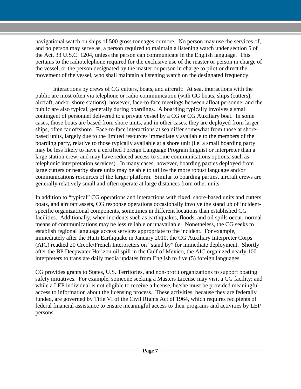navigational watch on ships of 500 gross tonnages or more. No person may use the services of, and no person may serve as, a person required to maintain a listening watch under section 5 of the Act, 33 U.S.C. 1204, unless the person can communicate in the English language. This pertains to the radiotelephone required for the exclusive use of the master or person in charge of the vessel, or the person designated by the master or person in charge to pilot or direct the movement of the vessel, who shall maintain a listening watch on the designated frequency.

Interactions by crews of CG cutters, boats, and aircraft: At sea, interactions with the public are most often via telephone or radio communication (with CG boats, ships (cutters), aircraft, and/or shore stations); however, face-to-face meetings between afloat personnel and the public are also typical, generally during boardings. A boarding typically involves a small contingent of personnel delivered to a private vessel by a CG or CG Auxiliary boat. In some cases, those boats are based from shore units, and in other cases, they are deployed from larger ships, often far offshore. Face-to-face interactions at sea differ somewhat from those at shorebased units, largely due to the limited resources immediately available to the members of the boarding party, relative to those typically available at a shore unit (i.e. a small boarding party may be less likely to have a certified Foreign Language Program linguist or interpreter than a large station crew, and may have reduced access to some communications options, such as telephonic interpretation services). In many cases, however, boarding parties deployed from large cutters or nearby shore units may be able to utilize the more robust language and/or communications resources of the larger platform. Similar to boarding parties, aircraft crews are generally relatively small and often operate at large distances from other units.

In addition to "typical" CG operations and interactions with fixed, shore-based units and cutters, boats, and aircraft assets, CG response operations occasionally involve the stand up of incidentspecific organizational components, sometimes in different locations than established CG facilities. Additionally, when incidents such as earthquakes, floods, and oil spills occur, normal means of communications may be less reliable or unavailable. Nonetheless, the CG seeks to establish regional language access services appropriate to the incident. For example, immediately after the Haiti Earthquake in January 2010, the CG Auxiliary Interpreter Corps (AIC) readied 20 Creole/French Interpreters on "stand by" for immediate deployment. Shortly after the BP Deepwater Horizon oil spill in the Gulf of Mexico, the AIC organized nearly 100 interpreters to translate daily media updates from English to five (5) foreign languages.

CG provides grants to States, U.S. Territories, and non-profit organizations to support boating safety initiatives. For example, someone seeking a Masters License may visit a CG facility; and while a LEP individual is not eligible to receive a license, he/she must be provided meaningful access to information about the licensing process. These activities, because they are federally funded, are governed by Title VI of the Civil Rights Act of 1964, which requires recipients of federal financial assistance to ensure meaningful access to their programs and activities by LEP persons.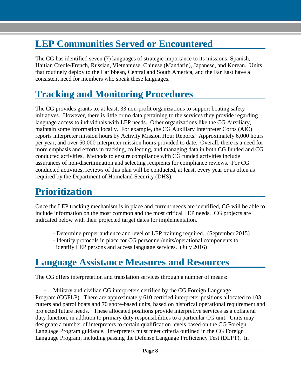#### <span id="page-8-0"></span>**LEP Communities Served or Encountered**

The CG has identified seven (7) languages of strategic importance to its missions: Spanish, Haitian Creole/French, Russian, Vietnamese, Chinese (Mandarin), Japanese, and Korean. Units that routinely deploy to the Caribbean, Central and South America, and the Far East have a consistent need for members who speak these languages.

#### <span id="page-8-1"></span>**Tracking and Monitoring Procedures**

The CG provides grants to, at least, 33 non-profit organizations to support boating safety initiatives. However, there is little or no data pertaining to the services they provide regarding language access to individuals with LEP needs. Other organizations like the CG Auxiliary, maintain some information locally. For example, the CG Auxiliary Interpreter Corps (AIC) reports interpreter mission hours by Activity Mission Hour Reports. Approximately 6,000 hours per year, and over 50,000 interpreter mission hours provided to date. Overall, there is a need for more emphasis and efforts in tracking, collecting, and managing data in both CG funded and CG conducted activities. Methods to ensure compliance with CG funded activities include assurances of non-discrimination and selecting recipients for compliance reviews. For CG conducted activities, reviews of this plan will be conducted, at least, every year or as often as required by the Department of Homeland Security (DHS).

#### <span id="page-8-2"></span>**Prioritization**

Once the LEP tracking mechanism is in place and current needs are identified, CG will be able to include information on the most common and the most critical LEP needs. CG projects are indicated below with their projected target dates for implementation.

- Determine proper audience and level of LEP training required. (September 2015)
- Identify protocols in place for CG personnel/units/operational components to identify LEP persons and access language services. (July 2016)

#### <span id="page-8-3"></span>**Language Assistance Measures and Resources**

The CG offers interpretation and translation services through a number of means:

Military and civilian CG interpreters certified by the CG Foreign Language Program (CGFLP). There are approximately 610 certified interpreter positions allocated to 103 cutters and patrol boats and 70 shore-based units, based on historical operational requirement and projected future needs. These allocated positions provide interpretive services as a collateral duty function, in addition to primary duty responsibilities to a particular CG unit. Units may designate a number of interpreters to certain qualification levels based on the CG Foreign Language Program guidance. Interpreters must meet criteria outlined in the CG Foreign Language Program, including passing the Defense Language Proficiency Test (DLPT). In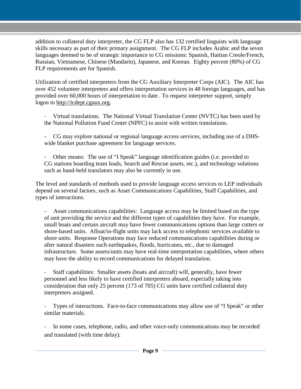addition to collateral duty interpreter, the CG FLP also has 132 certified linguists with language skills necessary as part of their primary assignment. The CG FLP includes Arabic and the seven languages deemed to be of strategic importance to CG missions: Spanish, Haitian Creole/French, Russian, Vietnamese, Chinese (Mandarin), Japanese, and Korean. Eighty percent (80%) of CG FLP requirements are for Spanish.

Utilization of certified interpreters from the CG Auxiliary Interpreter Corps (AIC). The AIC has over 452 volunteer interpreters and offers interpretation services in 48 foreign languages, and has provided over 60,000 hours of interpretation to date. To request interpreter support, simply logon to [http://icdept.cgaux.org.](http://icdept.cgaux.org/)

- Virtual translations. The National Virtual Translation Center (NVTC) has been used by the National Pollution Fund Center (NPFC) to assist with written translations.
- CG may explore national or regional language access services, including use of a DHSwide blanket purchase agreement for language services.
- Other means: The use of "I Speak" language identification guides (i.e. provided to CG stations boarding team leads, Search and Rescue assets, etc.), and technology solutions such as hand-held translators may also be currently in use.

The level and standards of methods used to provide language access services to LEP individuals depend on several factors, such as Asset Communications Capabilities, Staff Capabilities, and types of interactions.

Asset communications capabilities: Language access may be limited based on the type of unit providing the service and the different types of capabilities they have. For example, small boats and certain aircraft may have fewer communications options than large cutters or shore-based units. Afloat/in-flight units may lack access to telephonic services available to shore units. Response Operations may face reduced communications capabilities during or after natural disasters such earthquakes, floods, hurricanes, etc., due to damaged infrastructure. Some assets/units may have real-time interpretation capabilities, where others may have the ability to record communications for delayed translation.

- Staff capabilities: Smaller assets (boats and aircraft) will, generally, have fewer personnel and less likely to have certified interpreters aboard, especially taking into consideration that only 25 percent (173 of 705) CG units have certified collateral duty interpreters assigned.

Types of interactions. Face-to-face communications may allow use of "I Speak" or other similar materials.

In some cases, telephone, radio, and other voice-only communications may be recorded and translated (with time delay).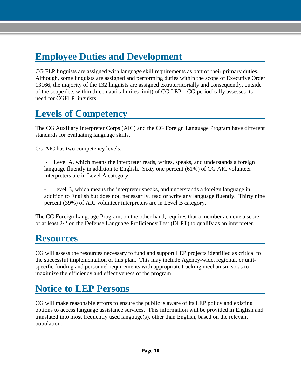#### <span id="page-10-0"></span>**Employee Duties and Development**

CG FLP linguists are assigned with language skill requirements as part of their primary duties. Although, some linguists are assigned and performing duties within the scope of Executive Order 13166, the majority of the 132 linguists are assigned extraterritorially and consequently, outside of the scope (i.e. within three nautical miles limit) of CG LEP. CG periodically assesses its need for CGFLP linguists.

#### <span id="page-10-1"></span>**Levels of Competency**

The CG Auxiliary Interpreter Corps (AIC) and the CG Foreign Language Program have different standards for evaluating language skills.

CG AIC has two competency levels:

- Level A, which means the interpreter reads, writes, speaks, and understands a foreign language fluently in addition to English. Sixty one percent (61%) of CG AIC volunteer interpreters are in Level A category.

Level B, which means the interpreter speaks, and understands a foreign language in addition to English but does not, necessarily, read or write any language fluently. Thirty nine percent (39%) of AIC volunteer interpreters are in Level B category.

The CG Foreign Language Program, on the other hand, requires that a member achieve a score of at least 2/2 on the Defense Language Proficiency Test (DLPT) to qualify as an interpreter.

#### <span id="page-10-2"></span>**Resources**

CG will assess the resources necessary to fund and support LEP projects identified as critical to the successful implementation of this plan. This may include Agency-wide, regional, or unitspecific funding and personnel requirements with appropriate tracking mechanism so as to maximize the efficiency and effectiveness of the program.

#### <span id="page-10-3"></span>**Notice to LEP Persons**

CG will make reasonable efforts to ensure the public is aware of its LEP policy and existing options to access language assistance services. This information will be provided in English and translated into most frequently used language(s), other than English, based on the relevant population.